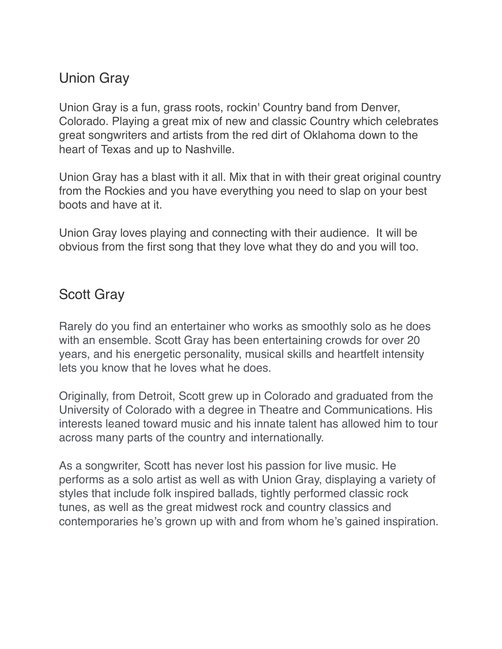## Union Gray

Union Gray is a fun, grass roots, rockin' Country band from Denver, Colorado. Playing a great mix of new and classic Country which celebrates great songwriters and artists from the red dirt of Oklahoma down to the heart of Texas and up to Nashville.

Union Gray has a blast with it all. Mix that in with their great original country from the Rockies and you have everything you need to slap on your best boots and have at it.

Union Gray loves playing and connecting with their audience. It will be obvious from the first song that they love what they do and you will too.

## Scott Gray

Rarely do you find an entertainer who works as smoothly solo as he does with an ensemble. Scott Gray has been entertaining crowds for over 20 years, and his energetic personality, musical skills and heartfelt intensity lets you know that he loves what he does.

Originally, from Detroit, Scott grew up in Colorado and graduated from the University of Colorado with a degree in Theatre and Communications. His interests leaned toward music and his innate talent has allowed him to tour across many parts of the country and internationally.

As a songwriter, Scott has never lost his passion for live music. He performs as a solo artist as well as with Union Gray, displaying a variety of styles that include folk inspired ballads, tightly performed classic rock tunes, as well as the great midwest rock and country classics and contemporaries he's grown up with and from whom he's gained inspiration.